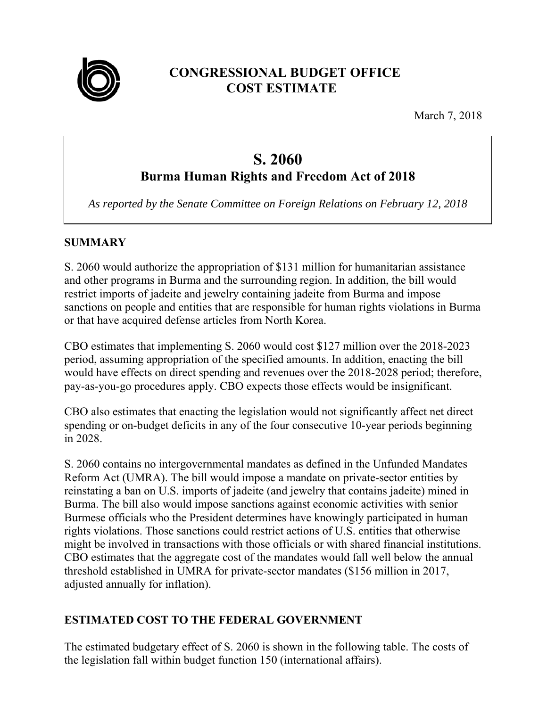

# **CONGRESSIONAL BUDGET OFFICE COST ESTIMATE**

March 7, 2018

# **S. 2060**

# **Burma Human Rights and Freedom Act of 2018**

*As reported by the Senate Committee on Foreign Relations on February 12, 2018* 

## **SUMMARY**

S. 2060 would authorize the appropriation of \$131 million for humanitarian assistance and other programs in Burma and the surrounding region. In addition, the bill would restrict imports of jadeite and jewelry containing jadeite from Burma and impose sanctions on people and entities that are responsible for human rights violations in Burma or that have acquired defense articles from North Korea.

CBO estimates that implementing S. 2060 would cost \$127 million over the 2018-2023 period, assuming appropriation of the specified amounts. In addition, enacting the bill would have effects on direct spending and revenues over the 2018-2028 period; therefore, pay-as-you-go procedures apply. CBO expects those effects would be insignificant.

CBO also estimates that enacting the legislation would not significantly affect net direct spending or on-budget deficits in any of the four consecutive 10-year periods beginning in 2028.

S. 2060 contains no intergovernmental mandates as defined in the Unfunded Mandates Reform Act (UMRA). The bill would impose a mandate on private-sector entities by reinstating a ban on U.S. imports of jadeite (and jewelry that contains jadeite) mined in Burma. The bill also would impose sanctions against economic activities with senior Burmese officials who the President determines have knowingly participated in human rights violations. Those sanctions could restrict actions of U.S. entities that otherwise might be involved in transactions with those officials or with shared financial institutions. CBO estimates that the aggregate cost of the mandates would fall well below the annual threshold established in UMRA for private-sector mandates (\$156 million in 2017, adjusted annually for inflation).

# **ESTIMATED COST TO THE FEDERAL GOVERNMENT**

The estimated budgetary effect of S. 2060 is shown in the following table. The costs of the legislation fall within budget function 150 (international affairs).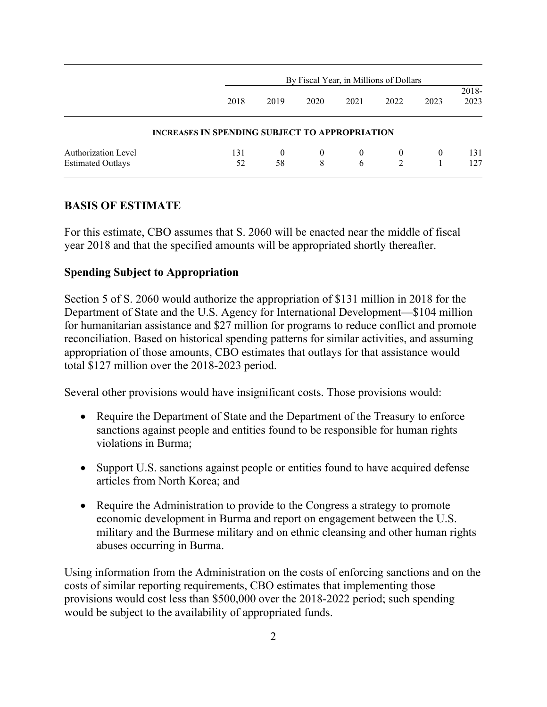|                                                        |                                                       | By Fiscal Year, in Millions of Dollars |                     |                     |                |          |               |
|--------------------------------------------------------|-------------------------------------------------------|----------------------------------------|---------------------|---------------------|----------------|----------|---------------|
|                                                        | 2018                                                  | 2019                                   | 2020                | 2021                | 2022           | 2023     | 2018-<br>2023 |
|                                                        | <b>INCREASES IN SPENDING SUBJECT TO APPROPRIATION</b> |                                        |                     |                     |                |          |               |
| <b>Authorization Level</b><br><b>Estimated Outlays</b> | 131<br>52                                             | $\theta$<br>58                         | $\overline{0}$<br>8 | $\overline{0}$<br>6 | $\overline{0}$ | $\theta$ | 131<br>127    |

### **BASIS OF ESTIMATE**

For this estimate, CBO assumes that S. 2060 will be enacted near the middle of fiscal year 2018 and that the specified amounts will be appropriated shortly thereafter.

### **Spending Subject to Appropriation**

Section 5 of S. 2060 would authorize the appropriation of \$131 million in 2018 for the Department of State and the U.S. Agency for International Development—\$104 million for humanitarian assistance and \$27 million for programs to reduce conflict and promote reconciliation. Based on historical spending patterns for similar activities, and assuming appropriation of those amounts, CBO estimates that outlays for that assistance would total \$127 million over the 2018-2023 period.

Several other provisions would have insignificant costs. Those provisions would:

- Require the Department of State and the Department of the Treasury to enforce sanctions against people and entities found to be responsible for human rights violations in Burma;
- Support U.S. sanctions against people or entities found to have acquired defense articles from North Korea; and
- Require the Administration to provide to the Congress a strategy to promote economic development in Burma and report on engagement between the U.S. military and the Burmese military and on ethnic cleansing and other human rights abuses occurring in Burma.

Using information from the Administration on the costs of enforcing sanctions and on the costs of similar reporting requirements, CBO estimates that implementing those provisions would cost less than \$500,000 over the 2018-2022 period; such spending would be subject to the availability of appropriated funds.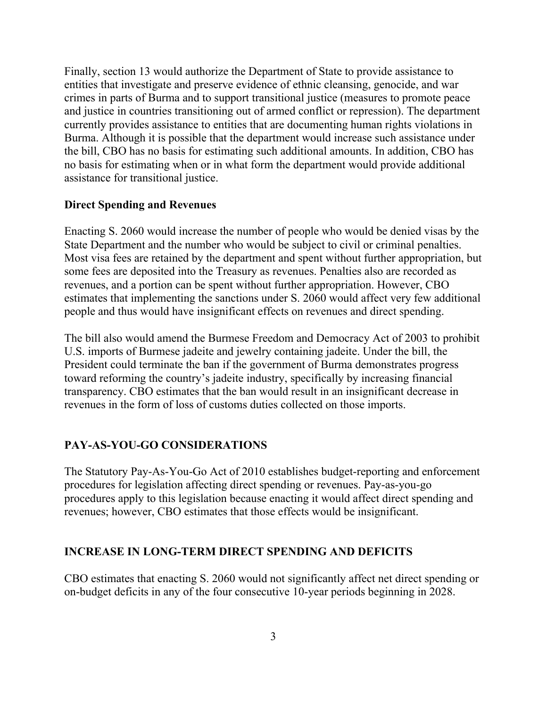Finally, section 13 would authorize the Department of State to provide assistance to entities that investigate and preserve evidence of ethnic cleansing, genocide, and war crimes in parts of Burma and to support transitional justice (measures to promote peace and justice in countries transitioning out of armed conflict or repression). The department currently provides assistance to entities that are documenting human rights violations in Burma. Although it is possible that the department would increase such assistance under the bill, CBO has no basis for estimating such additional amounts. In addition, CBO has no basis for estimating when or in what form the department would provide additional assistance for transitional justice.

#### **Direct Spending and Revenues**

Enacting S. 2060 would increase the number of people who would be denied visas by the State Department and the number who would be subject to civil or criminal penalties. Most visa fees are retained by the department and spent without further appropriation, but some fees are deposited into the Treasury as revenues. Penalties also are recorded as revenues, and a portion can be spent without further appropriation. However, CBO estimates that implementing the sanctions under S. 2060 would affect very few additional people and thus would have insignificant effects on revenues and direct spending.

The bill also would amend the Burmese Freedom and Democracy Act of 2003 to prohibit U.S. imports of Burmese jadeite and jewelry containing jadeite. Under the bill, the President could terminate the ban if the government of Burma demonstrates progress toward reforming the country's jadeite industry, specifically by increasing financial transparency. CBO estimates that the ban would result in an insignificant decrease in revenues in the form of loss of customs duties collected on those imports.

#### **PAY-AS-YOU-GO CONSIDERATIONS**

The Statutory Pay-As-You-Go Act of 2010 establishes budget-reporting and enforcement procedures for legislation affecting direct spending or revenues. Pay-as-you-go procedures apply to this legislation because enacting it would affect direct spending and revenues; however, CBO estimates that those effects would be insignificant.

#### **INCREASE IN LONG-TERM DIRECT SPENDING AND DEFICITS**

CBO estimates that enacting S. 2060 would not significantly affect net direct spending or on-budget deficits in any of the four consecutive 10-year periods beginning in 2028.